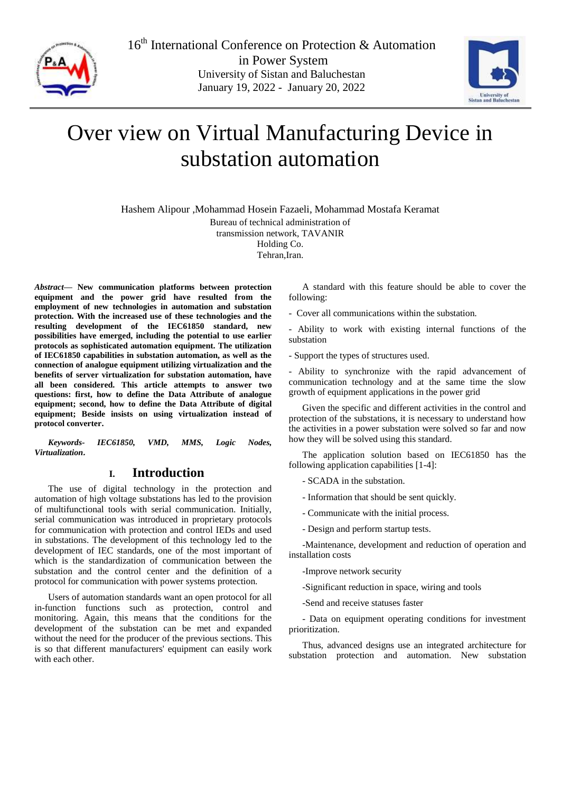

16<sup>th</sup> International Conference on Protection & Automation in Power System University of Sistan and Baluchestan January 19, 2022 - January 20, 2022



# Over view on Virtual Manufacturing Device in substation automation

Hashem Alipour ,Mohammad Hosein Fazaeli, Mohammad Mostafa Keramat

Bureau of technical administration of transmission network, TAVANIR

Holding Co.

Tehran, Iran.

*Abstract***— New communication platforms between protection equipment and the power grid have resulted from the employment of new technologies in automation and substation protection. With the increased use of these technologies and the resulting development of the IEC61850 standard, new possibilities have emerged, including the potential to use earlier protocols as sophisticated automation equipment. The utilization of IEC61850 capabilities in substation automation, as well as the connection of analogue equipment utilizing virtualization and the benefits of server virtualization for substation automation, have all been considered. This article attempts to answer two questions: first, how to define the Data Attribute of analogue equipment; second, how to define the Data Attribute of digital equipment; Beside insists on using virtualization instead of protocol converter.**

*Keywords- IEC61850, VMD, MMS, Logic Nodes, Virtualization***.**

# **I. Introduction**

The use of digital technology in the protection and automation of high voltage substations has led to the provision of multifunctional tools with serial communication. Initially, serial communication was introduced in proprietary protocols for communication with protection and control IEDs and used in substations. The development of this technology led to the development of IEC standards, one of the most important of which is the standardization of communication between the substation and the control center and the definition of a protocol for communication with power systems protection.

Users of automation standards want an open protocol for all in-function functions such as protection, control and monitoring. Again, this means that the conditions for the development of the substation can be met and expanded without the need for the producer of the previous sections. This is so that different manufacturers' equipment can easily work with each other.

A standard with this feature should be able to cover the following:

- Cover all communications within the substation.

- Ability to work with existing internal functions of the substation

- Support the types of structures used.

- Ability to synchronize with the rapid advancement of communication technology and at the same time the slow growth of equipment applications in the power grid

Given the specific and different activities in the control and protection of the substations, it is necessary to understand how the activities in a power substation were solved so far and now how they will be solved using this standard.

The application solution based on IEC61850 has the following application capabilities [1-4]:

- SCADA in the substation.

- Information that should be sent quickly.

- Communicate with the initial process.
- Design and perform startup tests.

-Maintenance, development and reduction of operation and installation costs

-Improve network security

-Significant reduction in space, wiring and tools

-Send and receive statuses faster

- Data on equipment operating conditions for investment prioritization.

Thus, advanced designs use an integrated architecture for substation protection and automation. New substation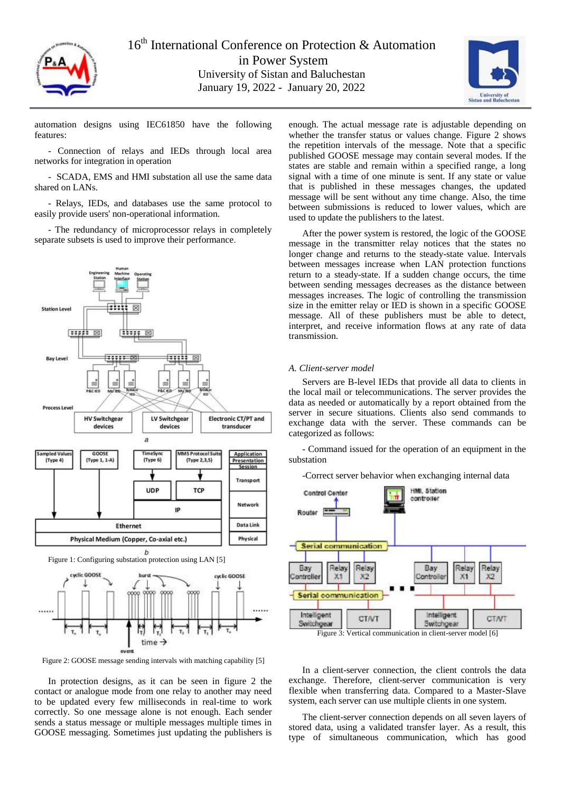



automation designs using IEC61850 have the following features:

- Connection of relays and IEDs through local area networks for integration in operation

- SCADA, EMS and HMI substation all use the same data shared on LANs.

- Relays, IEDs, and databases use the same protocol to easily provide users' non-operational information.

- The redundancy of microprocessor relays in completely separate subsets is used to improve their performance.



Figure 2: GOOSE message sending intervals with matching capability [5]

In protection designs, as it can be seen in figure 2 the contact or analogue mode from one relay to another may need to be updated every few milliseconds in real-time to work correctly. So one message alone is not enough. Each sender sends a status message or multiple messages multiple times in GOOSE messaging. Sometimes just updating the publishers is enough. The actual message rate is adjustable depending on whether the transfer status or values change. Figure 2 shows the repetition intervals of the message. Note that a specific published GOOSE message may contain several modes. If the states are stable and remain within a specified range, a long signal with a time of one minute is sent. If any state or value that is published in these messages changes, the updated message will be sent without any time change. Also, the time between submissions is reduced to lower values, which are used to update the publishers to the latest.

After the power system is restored, the logic of the GOOSE message in the transmitter relay notices that the states no longer change and returns to the steady-state value. Intervals between messages increase when LAN protection functions return to a steady-state. If a sudden change occurs, the time between sending messages decreases as the distance between messages increases. The logic of controlling the transmission size in the emitter relay or IED is shown in a specific GOOSE message. All of these publishers must be able to detect, interpret, and receive information flows at any rate of data transmission.

## *A. Client-server model*

Servers are B-level IEDs that provide all data to clients in the local mail or telecommunications. The server provides the data as needed or automatically by a report obtained from the server in secure situations. Clients also send commands to exchange data with the server. These commands can be categorized as follows:

- Command issued for the operation of an equipment in the substation

-Correct server behavior when exchanging internal data



Figure 3: Vertical communication in client-server model [6]

In a client-server connection, the client controls the data exchange. Therefore, client-server communication is very flexible when transferring data. Compared to a Master-Slave system, each server can use multiple clients in one system.

The client-server connection depends on all seven layers of stored data, using a validated transfer layer. As a result, this type of simultaneous communication, which has good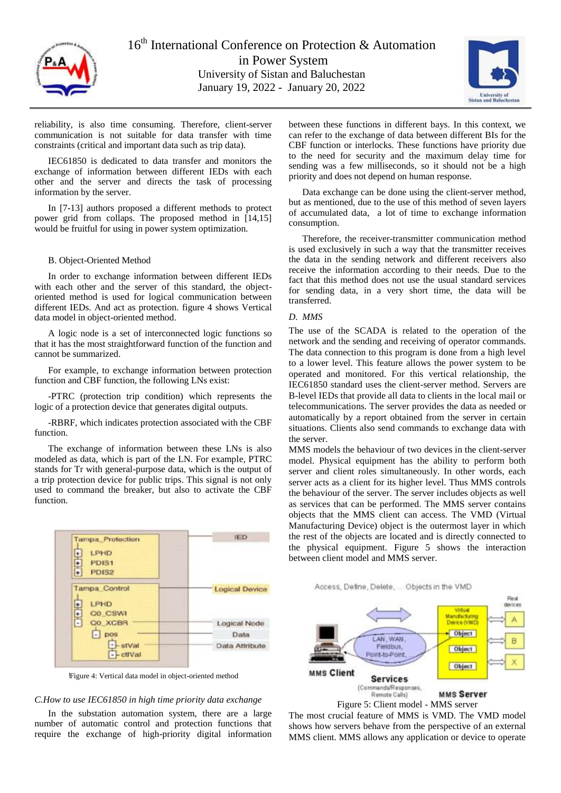

16<sup>th</sup> International Conference on Protection & Automation in Power System University of Sistan and Baluchestan January 19, 2022 - January 20, 2022



reliability, is also time consuming. Therefore, client-server communication is not suitable for data transfer with time constraints (critical and important data such as trip data).

IEC61850 is dedicated to data transfer and monitors the exchange of information between different IEDs with each other and the server and directs the task of processing information by the server.

In [7-13] authors proposed a different methods to protect power grid from collaps. The proposed method in [14,15] would be fruitful for using in power system optimization.

#### B. Object-Oriented Method

In order to exchange information between different IEDs with each other and the server of this standard, the objectoriented method is used for logical communication between different IEDs. And act as protection. figure 4 shows Vertical data model in object-oriented method.

A logic node is a set of interconnected logic functions so that it has the most straightforward function of the function and cannot be summarized.

For example, to exchange information between protection function and CBF function, the following LNs exist:

-PTRC (protection trip condition) which represents the logic of a protection device that generates digital outputs.

-RBRF, which indicates protection associated with the CBF function.

The exchange of information between these LNs is also modeled as data, which is part of the LN. For example, PTRC stands for Tr with general-purpose data, which is the output of a trip protection device for public trips. This signal is not only used to command the breaker, but also to activate the CBF function.

| <b>Tampa Protection</b>      | <b>IED</b>            |
|------------------------------|-----------------------|
| LPHD                         |                       |
| 国王国<br>PDIS1                 |                       |
| PDIS2                        |                       |
| <b>Tampa Control</b><br>LPHD | <b>Logical Device</b> |
| 电导回<br><b>QO CSWI</b>        |                       |
| Q0 XCBR                      | Logical Node          |
| pos                          | Data                  |
| - stVal<br>$  cti$ Val       | Data Attribute        |

اFigure 4: Vertical data model in object-oriented method

#### *C.How to use IEC61850 in high time priority data exchange*

In the substation automation system, there are a large number of automatic control and protection functions that require the exchange of high-priority digital information

between these functions in different bays. In this context, we can refer to the exchange of data between different BIs for the CBF function or interlocks. These functions have priority due to the need for security and the maximum delay time for sending was a few milliseconds, so it should not be a high priority and does not depend on human response.

Data exchange can be done using the client-server method, but as mentioned, due to the use of this method of seven layers of accumulated data, a lot of time to exchange information consumption.

Therefore, the receiver-transmitter communication method is used exclusively in such a way that the transmitter receives the data in the sending network and different receivers also receive the information according to their needs. Due to the fact that this method does not use the usual standard services for sending data, in a very short time, the data will be transferred.

## *D. MMS*

The use of the SCADA is related to the operation of the network and the sending and receiving of operator commands. The data connection to this program is done from a high level to a lower level. This feature allows the power system to be operated and monitored. For this vertical relationship, the IEC61850 standard uses the client-server method. Servers are B-level IEDs that provide all data to clients in the local mail or telecommunications. The server provides the data as needed or automatically by a report obtained from the server in certain situations. Clients also send commands to exchange data with the server.

MMS models the behaviour of two devices in the client-server model. Physical equipment has the ability to perform both server and client roles simultaneously. In other words, each server acts as a client for its higher level. Thus MMS controls the behaviour of the server. The server includes objects as well as services that can be performed. The MMS server contains objects that the MMS client can access. The VMD (Virtual Manufacturing Device) object is the outermost layer in which the rest of the objects are located and is directly connected to the physical equipment. Figure 5 shows the interaction between client model and MMS server.





The most crucial feature of MMS is VMD. The VMD model shows how servers behave from the perspective of an external MMS client. MMS allows any application or device to operate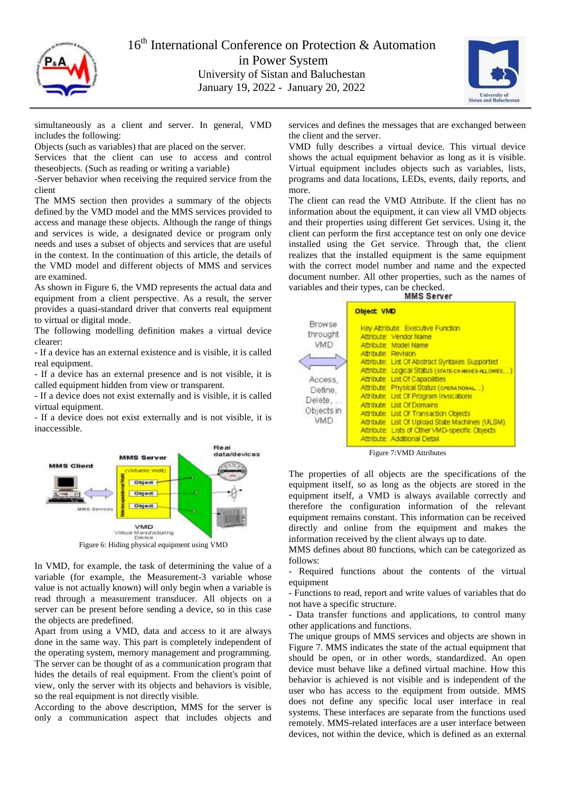



simultaneously as a client and server. In general, VMD includes the following:

Objects (such as variables) that are placed on the server.

Services that the client can use to access and control theseobjects. (Such as reading or writing a variable)

-Server behavior when receiving the required service from the client

The MMS section then provides a summary of the objects defined by the VMD model and the MMS services provided to access and manage these objects. Although the range of things and services is wide, a designated device or program only needs and uses a subset of objects and services that are useful in the context. In the continuation of this article, the details of the VMD model and different objects of MMS and services are examined.

As shown in Figure 6, the VMD represents the actual data and equipment from a client perspective. As a result, the server provides a quasi-standard driver that converts real equipment to virtual or digital mode.

The following modelling definition makes a virtual device clearer:

- If a device has an external existence and is visible, it is called real equipment.

- If a device has an external presence and is not visible, it is called equipment hidden from view or transparent.

- If a device does not exist externally and is visible, it is called virtual equipment.

- If a device does not exist externally and is not visible, it is inaccessible.



Figure 6: Hiding physical equipment using VMD

In VMD, for example, the task of determining the value of a variable (for example, the Measurement-3 variable whose value is not actually known) will only begin when a variable is read through a measurement transducer. All objects on a server can be present before sending a device, so in this case the objects are predefined.

Apart from using a VMD, data and access to it are always done in the same way. This part is completely independent of the operating system, memory management and programming. The server can be thought of as a communication program that hides the details of real equipment. From the client's point of view, only the server with its objects and behaviors is visible, so the real equipment is not directly visible.

According to the above description, MMS for the server is only a communication aspect that includes objects and

services and defines the messages that are exchanged between the client and the server.

VMD fully describes a virtual device. This virtual device shows the actual equipment behavior as long as it is visible. Virtual equipment includes objects such as variables, lists, programs and data locations, LEDs, events, daily reports, and more.

The client can read the VMD Attribute. If the client has no information about the equipment, it can view all VMD objects and their properties using different Get services. Using it, the client can perform the first acceptance test on only one device installed using the Get service. Through that, the client realizes that the installed equipment is the same equipment with the correct model number and name and the expected document number. All other properties, such as the names of variables and their types, can be checked.

|                                                                                        | <b>Object VMD</b>                                                                                                                                                                                                                                                                                                                                                                                                                                                                                                                                           |
|----------------------------------------------------------------------------------------|-------------------------------------------------------------------------------------------------------------------------------------------------------------------------------------------------------------------------------------------------------------------------------------------------------------------------------------------------------------------------------------------------------------------------------------------------------------------------------------------------------------------------------------------------------------|
| <b>Browse</b><br>throught<br>VMD<br>Access,<br>Define,<br>Delete,<br>Objects in<br>VMD | <b>Key Attribute Executive Function</b><br>Attribute: Vendor Name<br>Attribute: Model Name<br>Altribute Revision<br>Attribute: List Of Abstract Syntaxes Supported<br>Attribute: Logical Status (state-changes-ALLOWED)<br>Attribute: List Of Capabilities<br>Attribute: Physical Status (orerational)<br>Attribute: List Of Program Invocations<br>Attribute List Of Domains<br>Attribute. List Of Transaction Chieds<br>Attribute List Of Upload State Machines (ULSM).<br>Attribute: Lists of Other VMD-specific Objects<br>Attribute: Additional Detail |
|                                                                                        |                                                                                                                                                                                                                                                                                                                                                                                                                                                                                                                                                             |

Figure 7:VMD Attributes

The properties of all objects are the specifications of the equipment itself, so as long as the objects are stored in the equipment itself, a VMD is always available correctly and therefore the configuration information of the relevant equipment remains constant. This information can be received directly and online from the equipment and makes the information received by the client always up to date.

MMS defines about 80 functions, which can be categorized as follows:

- Required functions about the contents of the virtual equipment

- Functions to read, report and write values of variables that do not have a specific structure.

- Data transfer functions and applications, to control many other applications and functions.

The unique groups of MMS services and objects are shown in Figure 7. MMS indicates the state of the actual equipment that should be open, or in other words, standardized. An open device must behave like a defined virtual machine. How this behavior is achieved is not visible and is independent of the user who has access to the equipment from outside. MMS does not define any specific local user interface in real systems. These interfaces are separate from the functions used remotely. MMS-related interfaces are a user interface between devices, not within the device, which is defined as an external